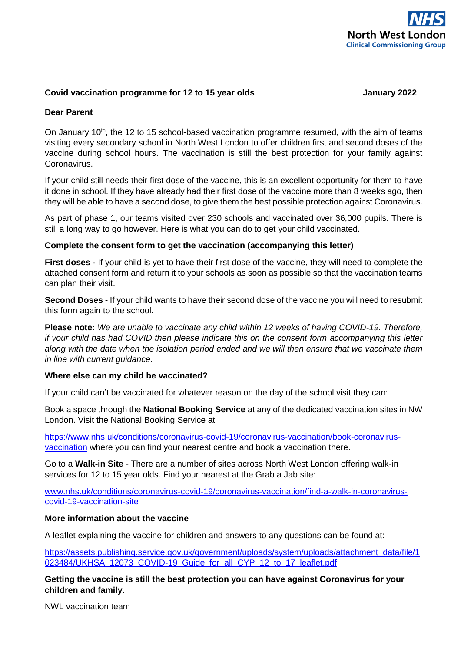

## **Covid vaccination programme for 12 to 15 year olds January 2022**

### **Dear Parent**

On January 10<sup>th</sup>, the 12 to 15 school-based vaccination programme resumed, with the aim of teams visiting every secondary school in North West London to offer children first and second doses of the vaccine during school hours. The vaccination is still the best protection for your family against Coronavirus.

If your child still needs their first dose of the vaccine, this is an excellent opportunity for them to have it done in school. If they have already had their first dose of the vaccine more than 8 weeks ago, then they will be able to have a second dose, to give them the best possible protection against Coronavirus.

As part of phase 1, our teams visited over 230 schools and vaccinated over 36,000 pupils. There is still a long way to go however. Here is what you can do to get your child vaccinated.

### **Complete the consent form to get the vaccination (accompanying this letter)**

**First doses -** If your child is yet to have their first dose of the vaccine, they will need to complete the attached consent form and return it to your schools as soon as possible so that the vaccination teams can plan their visit.

**Second Doses** - If your child wants to have their second dose of the vaccine you will need to resubmit this form again to the school.

**Please note:** *We are unable to vaccinate any child within 12 weeks of having COVID-19. Therefore, if your child has had COVID then please indicate this on the consent form accompanying this letter along with the date when the isolation period ended and we will then ensure that we vaccinate them in line with current guidance*.

#### **Where else can my child be vaccinated?**

If your child can't be vaccinated for whatever reason on the day of the school visit they can:

Book a space through the **National Booking Service** at any of the dedicated vaccination sites in NW London. Visit the National Booking Service at

[https://www.nhs.uk/conditions/coronavirus-covid-19/coronavirus-vaccination/book-coronavirus](https://www.nhs.uk/conditions/coronavirus-covid-19/coronavirus-vaccination/book-coronavirus-vaccination)[vaccination](https://www.nhs.uk/conditions/coronavirus-covid-19/coronavirus-vaccination/book-coronavirus-vaccination) where you can find your nearest centre and book a vaccination there.

Go to a **Walk-in Site** - There are a number of sites across North West London offering walk-in services for 12 to 15 year olds. Find your nearest at the Grab a Jab site:

[www.nhs.uk/conditions/coronavirus-covid-19/coronavirus-vaccination/find-a-walk-in-coronavirus](http://www.nhs.uk/conditions/coronavirus-covid-19/coronavirus-vaccination/find-a-walk-in-coronavirus-covid-19-vaccination-site/)[covid-19-vaccination-site](http://www.nhs.uk/conditions/coronavirus-covid-19/coronavirus-vaccination/find-a-walk-in-coronavirus-covid-19-vaccination-site/)

#### **More information about the vaccine**

A leaflet explaining the vaccine for children and answers to any questions can be found at:

[https://assets.publishing.service.gov.uk/government/uploads/system/uploads/attachment\\_data/file/1](https://assets.publishing.service.gov.uk/government/uploads/system/uploads/attachment_data/file/1023484/UKHSA_12073_COVID-19_Guide_for_all_CYP_12_to_17_leaflet.pdf) [023484/UKHSA\\_12073\\_COVID-19\\_Guide\\_for\\_all\\_CYP\\_12\\_to\\_17\\_leaflet.pdf](https://assets.publishing.service.gov.uk/government/uploads/system/uploads/attachment_data/file/1023484/UKHSA_12073_COVID-19_Guide_for_all_CYP_12_to_17_leaflet.pdf)

**Getting the vaccine is still the best protection you can have against Coronavirus for your children and family.**

NWL vaccination team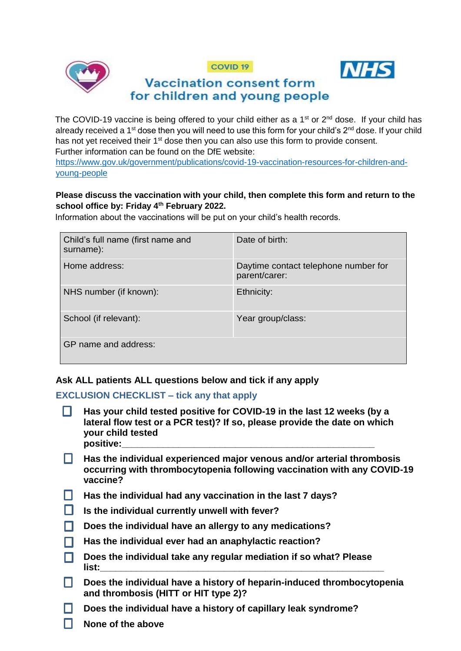





# **Vaccination consent form** for children and young people

The COVID-19 vaccine is being offered to your child either as a  $1<sup>st</sup>$  or  $2<sup>nd</sup>$  dose. If your child has already received a 1<sup>st</sup> dose then you will need to use this form for your child's 2<sup>nd</sup> dose. If your child has not yet received their 1<sup>st</sup> dose then you can also use this form to provide consent. Further information can be found on the DfE website:

[https://www.gov.uk/government/publications/covid-19-vaccination-resources-for-children-and](https://www.gov.uk/government/publications/covid-19-vaccination-resources-for-children-and-young-people)[young-people](https://www.gov.uk/government/publications/covid-19-vaccination-resources-for-children-and-young-people)

# **Please discuss the vaccination with your child, then complete this form and return to the school office by: Friday 4th February 2022.**

Information about the vaccinations will be put on your child's health records.

| Child's full name (first name and<br>surname): | Date of birth:                                        |
|------------------------------------------------|-------------------------------------------------------|
| Home address:                                  | Daytime contact telephone number for<br>parent/carer: |
| NHS number (if known):                         | Ethnicity:                                            |
| School (if relevant):                          | Year group/class:                                     |
| GP name and address:                           |                                                       |

# **Ask ALL patients ALL questions below and tick if any apply**

# **EXCLUSION CHECKLIST – tick any that apply**

- **Has your child tested positive for COVID-19 in the last 12 weeks (by a**  n. **lateral flow test or a PCR test)? If so, please provide the date on which your child tested positive:\_\_\_\_\_\_\_\_\_\_\_\_\_\_\_\_\_\_\_\_\_\_\_\_\_\_\_\_\_\_\_\_\_\_\_\_\_\_\_\_\_\_\_\_\_\_\_\_\_**
- H. **Has the individual experienced major venous and/or arterial thrombosis occurring with thrombocytopenia following vaccination with any COVID-19 vaccine?**
- **Has the individual had any vaccination in the last 7 days?**
- **Is the individual currently unwell with fever?**
- **Does the individual have an allergy to any medications?** П.
- **Has the individual ever had an anaphylactic reaction?** n.
- **Does the individual take any regular mediation if so what? Please**  П. **list:\_\_\_\_\_\_\_\_\_\_\_\_\_\_\_\_\_\_\_\_\_\_\_\_\_\_\_\_\_\_\_\_\_\_\_\_\_\_\_\_\_\_\_\_\_\_\_\_\_\_\_\_\_\_\_**
- $\Box$ **Does the individual have a history of heparin-induced thrombocytopenia and thrombosis (HITT or HIT type 2)?**
- **Does the individual have a history of capillary leak syndrome?** П.
	- **None of the above**